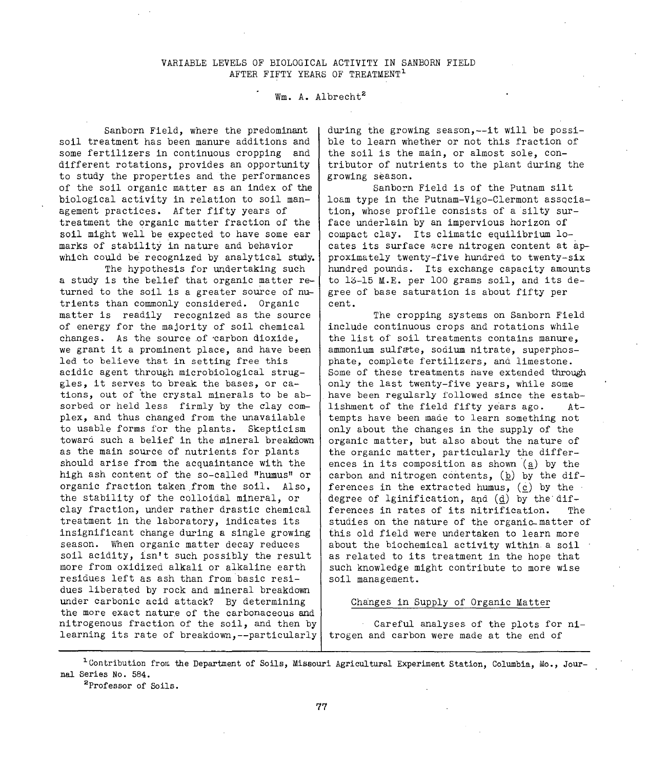### VARIABLE LEVELS OF BIOLOGICAL ACTIVITY IN SANBORN FIELD AFTER FIFTY YEARS OF TREATMENT<sup>1</sup>

## Wm. A. Albrecht<sup>2</sup>

Sanborn Field, where the predominant soil treatment has been manure additions and some fertilizers in continuous cropping and different rotations, provides an opportunity to study the properties and the performances of the soil organic matter as an index of the biological activity in relation to soil management practices. After fifty years of treatment the organic matter fraction of the soil might well be expected to have some ear marks of stability in nature and behavior which could be recognized by analytical study.

The hypothesis for undertaking such a study is the belief that organic matter returned to the soil is a greater source of nutrients than commonly considered. Organic matter is readily recognized as the source of energy for the majority of soil chemical changes. As the source of carbon dioxide, we grant it a prominent place, and have been led to believe that in setting free this acidic agent through microbiological struggles, it serves to break the bases, or cations, out of the crystal minerals to be absorbed or held less firmly by the clay complex, and thus changed from the unavailable to usable forms for the plants. Skepticism toward such a belief in the mineral breakdown as the main source of nutrients for plants should arise from the acquaintance with the high ash content of the so-called "humus" or organic fraction taken from the soil. Also, the stability of the colloidal mineral, or clay fraction, under rather drastic chemical treatment in the laboratory, indicates its insignificant change during a single growing season. When organic matter decay reduces soil acidity, isn't such possibly the result more from oxidized alkali or alkaline earth residues left as ash than from basic residues liberated by rock and mineral breakdown under carbonic acid attack? By determining the more exact nature of the carbonaceous and nitrogenous fraction of the soil, and then by learning its rate of breakdown,—particularly

during the growing season, -- it will be possible to learn whether or not this fraction of the soil is the main, or almost sole, contributor of nutrients to the plant during the growing season.

Sanborn Field is of the Putnam silt loam type in the Putnam-Vigo-Clermont association, whose profile consists of a silty surface underlain by an impervious horizon of compact clay. Its climatic equilibrium locates its surface acre nitrogen content at approximately twenty-five hundred to twenty-six hundred pounds. Its exchange capacity amounts to 1S-15 M.E. per 100 grams soil, and its degree of base saturation is about fifty per cent.

The cropping systems on Sanborn Field include continuous crops and rotations while the list of soil treatments contains manure, ammonium sulfate, sodium nitrate, superphosphate, complete fertilizers, and limestone. Some of these treatments have extended through only the last twenty-five years, while some have been regularly followed since the establishment of the field fifty years ago. Attempts have been made to learn something not only about the changes in the supply of the organic matter, but also about the nature of the organic matter, particularly the differences in its composition as shown (a) by the carbon and nitrogen contents,  $(b)$  by the differences in the extracted humus,  $(c)$  by the degree of Iginification, and (d) by the'differences in rates of its nitrification. The studies on the nature of the organic-matter of this old field were undertaken to learn more about the biochemical activity within, a soil as related to its treatment in the hope that such knowledge might contribute to more wise soil management.

## Changes in Supply of Organic Matter

Careful analyses of the plots for nitrogen and carbon were made at the end of

<sup>1</sup> Contribution from the Department of Soils, Missouri Agricultural Experiment Station, Columbia, Mo., Journal Series No. 584.

<sup>2</sup>Professor of Soils.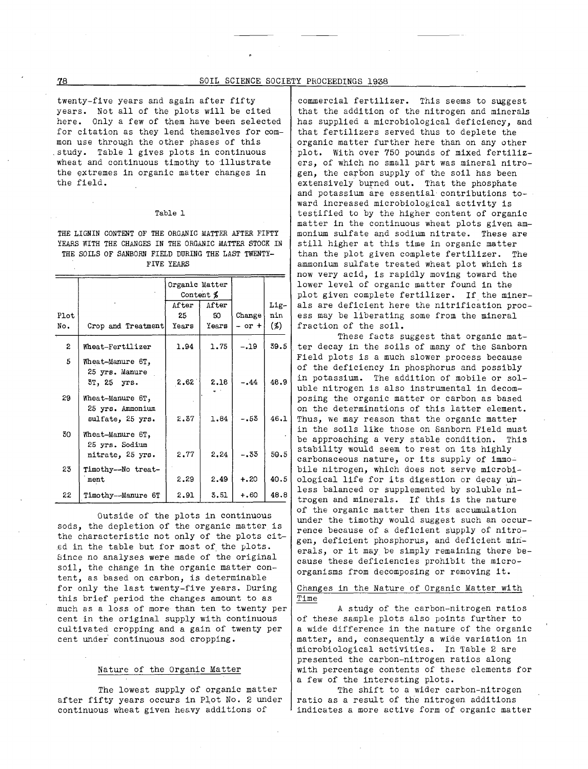twenty-five years and again after fifty years. Not all of the plots will be cited here. Only a few of them have been selected for citation as they lend themselves for common use through the other phases of this .study. Table 1 gives plots in continuous wheat and continuous timothy to illustrate the extremes in organic matter changes in the field.

#### Table 1

THE LIGNIN CONTENT OF THE ORGANIC MATTER AFTER FIFTY YEARS WITH THE CHANGES IN THE ORGANIC MATTER STOCK IN THE SOILS OF SANBORN FIELD DURING THE LAST TWENTY-FIVE YEARS

|              |                                                          | Organic Matter<br>Content % |       |        |                 |
|--------------|----------------------------------------------------------|-----------------------------|-------|--------|-----------------|
|              |                                                          | After                       | After |        | Lig-            |
| Plot         |                                                          | 25                          | 50    | Change | nin             |
| No.          | Crop and Treatment                                       | Years                       | Years | – or + | $(\mathcal{X})$ |
| $\mathbf{2}$ | Wheat-Fertilizer                                         | 1.94                        | 1.75  | $-.19$ | 39.5            |
| 5            | Wheat-Manure 6T,<br>25 yrs. Manure<br>3T, 25 yrs.        | 2.62                        | 2.18  | $-.44$ | 48.9            |
| 29           | Wheat-Manure 6T,<br>25 yrs. Ammonium<br>sulfate, 25 yrs. | 2.37                        | 1.84  | $-.53$ | 46.1            |
| 30           | Wheat-Manure 6T.<br>25 yrs. Sodium<br>nitrate, 25 yrs.   | 2.77                        | 2.24  | $-.33$ | 59.5            |
| 23           | Timothy--No treat-<br>ment                               | 2.29                        | 2.49  | $+.20$ | 40.5            |
| 22           | Timothy--Manure 6T                                       | 2.91                        | 3.51  | $+.60$ | 48.8            |

Outside of the plots in continuous sods, the depletion of the organic matter is the characteristic not only of the plots cit- ,ed in the table but for most of the plots. Since no analyses were made of the original soil, the change in the organic matter content, as based on carbon, is determinable for only the last twenty-five years. During this brief period the changes amount to as much as a loss of more than ten to twenty per cent in the original supply with continuous cultivated cropping and a gain of twenty per cent under continuous sod cropping.

### Nature of the Organic Matter

The lowest supply of organic matter after fifty years occurs in Plot No. g under continuous wheat given heavy additions of

commercial fertilizer. This seems to suggest that the addition of the nitrogen and minerals has supplied a microbiological deficiency, and that fertilizers served thus to deplete the organic matter further here than on any other plot. With over 750 pounds of mixed fertilizers, of which no small part was mineral nitrogen, the carbon supply of the soil has been extensively burned out. That the phosphate and potassium are essential contributions toward increased microbiological activity is testified to by the higher content of organic matter in the continuous wheat plots given ammonium sulfate and sodium nitrate. These are still higher at this time in organic matter than the plot given complete fertilizer. The ammonium sulfate treated wheat plot which is now very acid, is rapidly moving toward the lower level of organic matter found in the plot given complete fertilizer. If the minerals are deficient here the nitrification process may be liberating some from the mineral fraction of the soil.

These facts suggest that organic matter decay in the soils of many of the Sanborn Field plots is a much slower process because of the deficiency in phosphorus and possibly in potassium. The addition of mobile or soluble nitrogen is also instrumental in decomposing the organic matter or carbon as based on the determinations of this latter element. Thus, we may reason that the organic matter in the soils like those on Sanborn Field must be approaching a very stable condition. This stability would seem to rest on its highly carbonaceous nature, or its supply of immobile nitrogen, which does not serve microbiological life for its digestion or decay unless balanced or supplemented by soluble nitrogen and minerals. If this is the nature of the organic matter then its accumulation under the timothy would suggest such an occurrence because of *&* deficient supply of nitrogen, deficient phosphorus, and deficient minerals, or it may be simply remaining there because these deficiencies prohibit the microorganisms from decomposing or removing it.

## Changes in the Nature of Organic Matter with Time

A study of the carbon-nitrogen ratios of these sample plots also points further to a wide difference in the nature of the organic matter, and, consequently a wide variation in microbiological activities. In Table 2 are presented the carbon-nitrogen ratios along with percentage contents of these elements for a few of the interesting plots.

The shift to a wider carbon-nitrogen ratio as a result of the nitrogen additions indicates a more active form of organic matter

78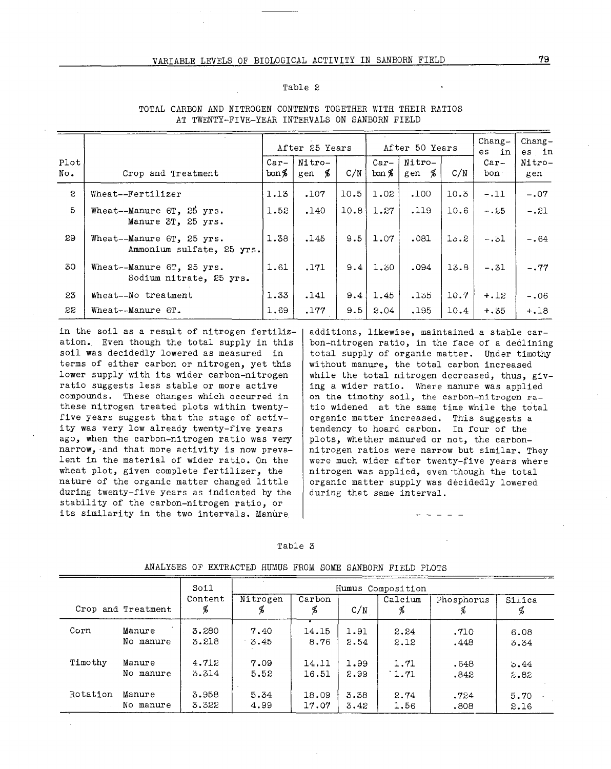### Table 2

|              |                                                        | After 25 Years |                        |      | After 50 Years         |                    |      | $Chang-$<br>es in | $change-$<br>es in |  |
|--------------|--------------------------------------------------------|----------------|------------------------|------|------------------------|--------------------|------|-------------------|--------------------|--|
| Plot<br>No.  | Crop and Treatment                                     |                | Nitro-<br>$gen \tImes$ | C/N  | $Car-$<br>$\rm{bon}$ % | Nitro-<br>gen<br>% | C/N  | Car-<br>bon       | Nitro-<br>gen      |  |
| $\mathbf{S}$ | Wheat--Fertilizer                                      | 1.13           | .107                   | 10.5 | 1.02                   | .100               | 10.3 | $-.11$            | $-.07$             |  |
| 5            | Wheat--Manure 6T. 25 yrs.<br>Manure 3T, 25 yrs.        | 1.52           | .140                   | 10.8 | 1.27                   | .119               | 10.6 | $-.25$            | $-.21$             |  |
| 29           | Wheat--Manure 6T, 25 yrs.<br>Ammonium sulfate, 25 yrs. | 1.38           | .145                   | 9.5  | 1.07                   | .081               | 16.2 | $-.51$            | $-.64$             |  |
| 30           | Wheat--Manure 6T, 25 yrs.<br>Sodium nitrate, 25 yrs.   | 1.61           | .171                   |      | $9.4$   1.30           | .094               | 13.8 | $-.31$            | $-.77$             |  |
| 23           | Wheat--No treatment                                    | 1.33           | .141                   | 9.41 | 1.45                   | .135               | 10.7 | $+.12$            | $-.06$             |  |
| 22           | Wheat--Manure 6T.                                      | 1.69           | .177                   | 9.5  | 2.04                   | .195               | 10.4 | $+.35$            | $+.18$             |  |

# TOTAL CARBON AND NITROGEN CONTENTS TOGETHER WITH THEIR RATIOS AT TWENTY-FIVE-YEAR INTERVALS ON SANBORN FIELD

in the soil as a result of nitrogen fertilization.. Even though the total supply in this soil was decidedly lowered as measured in terms of either carbon or nitrogen, yet this lower supply with its wider carbon-nitrogen ratio suggests less stable or more active compounds. These changes which occurred in these nitrogen treated plots within twentyfive years suggest that the stage of activity was very low already twenty-five years ago, when the carbon-nitrogen ratio was very narrow, and that more activity is now prevalent in the material of wider ratio. On the wheat plot, given complete fertilizer, the nature of the organic matter changed little during twenty-five years as indicated by the stability of the carbon-nitrogen ratio, or its similarity in the two intervals. Manure.

additions, likewise, maintained a stable carbon-nitrogen ratio, in the face of a declining total supply of organic matter. Under timothy without manure, the total carbon increased while the total nitrogen decreased, thus, giving a wider ratio. Where manure was applied on the timothy soil, the carbon-nitrogen ratio widened at the same time while the total organic matter increased. This suggests a tendency to hoard carbon. In four of the plots, whether manured or not, the carbonnitrogen ratios were narrow but similar. They were much wider after twenty-five years where nitrogen was applied, even "though the total organic matter supply was decidedly lowered during that same interval.

#### Table 3

|                    |           | Soil         | Humus Composition            |       |      |              |            |             |  |  |
|--------------------|-----------|--------------|------------------------------|-------|------|--------------|------------|-------------|--|--|
| Crop and Treatment |           | Content<br>% | Nitrogen<br>Carbon<br>%<br>% |       | C/N  | Calcium<br>q | Phosphorus | Silica<br>% |  |  |
| Corn               | Manure    | 3.280        | 7.40                         | 14.15 | 1.91 | 2.24         | .710       | 6.08        |  |  |
|                    | No manure | 3.218        | 3.45                         | 8.76  | 2.54 | 2.12         | .448       | 3.34        |  |  |
| Timothy            | Manure    | 4.712        | 7.09                         | 14.11 | 1.99 | 1.71         | .648       | 5.44        |  |  |
|                    | No manure | 3.314        | 5.52                         | 16.51 | 2.99 | 1.71         | .842       | 2.82        |  |  |
| Rotation           | Manure    | 3.958        | 5.34                         | 18.09 | 3.38 | 2.74         | .724       | 5.70        |  |  |
|                    | No manure | 3.322        | 4.99                         | 17.07 | 3.42 | 1.56         | .808       | 2.16        |  |  |

#### ANALYSES OF EXTRACTED HOMOS FROM SOME SANBORN FIELD PLOTS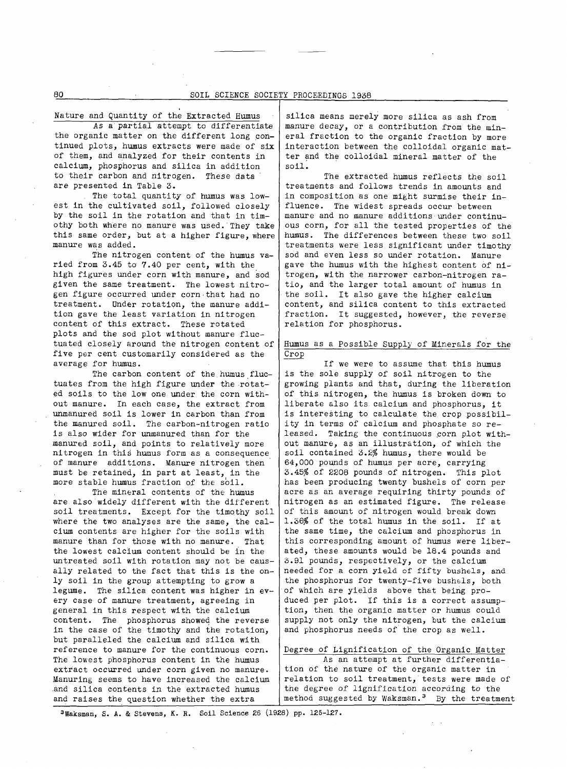Nature and Quantity of the Extracted Humus

As a'partial attempt to differentiate the organic matter on the different long continued plots, humus extracts were made of six of them, and analyzed for their contents in calcium, phosphorus and silica in addition to their carbon and nitrogen. These data are presented in Table 3.

. The total quantity of humus was lowest in the cultivated soil, followed closely by the soil in the rotation and that in timothy both where no manure was used.'They take this same order, but at a higher figure, where manure was added.

The nitrogen content of the humus varied from 3.45 to 7.40 per cent, with the high figures under corn with manure, and sod given the same treatment. The lowest nitrogen figure occurred under corn-that had no treatment. Under rotation, the manure addition gave the least variation in nitrogen content of this extract. These rotated plots and the sod plot without manure fluctuated closely around the nitrogen content of five per cent customarily considered as the average for humus.

The carbon content of the humus fluctuates from the high figure under the rotated soils to the low one under the corn without manure. In each case, the extract from unmanured soil is lower in carbon than from the manured soil. The carbon-nitrogen ratio is also wider for unmanured than for the manured soil, and points to relatively more nitrogen in this humus form as a consequence of manure additions. Manure nitrogen then must be retained, in part at least, in the more stable humus fraction of the soil.

The mineral contents of the humus are also widely different with the different soil treatments. Except for the timothy soil where the two analyses are the same, the calcium contents are higher for the soils with manure than for those with no manure. That the lowest calcium content should be in the untreated soil with rotation may not be causally related to the fact that this is the only soil in the group attempting to grow a legume. The silica content was higher in every case of manure treatment, agreeing in general in this respect with the calcium content. The phosphorus showed the reverse in the case of the timothy and the rotation, but paralleled the calcium and silica with reference to manure for the continuous corn. The lowest phosphorus content in the humus extract occurred under corn given no manure. Manuring seems to have increased the calcium .and silica contents in the extracted humus and raises the question whether the extra

silica means merely more silica as ash from manure decay, or a contribution from the mineral fraction to the organic fraction by more interaction between the colloidal organic matter and the colloidal mineral matter of the soil.

The extracted humus reflects the soil treatments and follows trends in amounts and in composition as one might surmise their influence. The widest spreads occur between manure and no manure additions under continuous corn, for all the tested properties of the humus. The differences between these two soil treatments were less significant under timothy sod and even less so under rotation. Manure gave the humus with the highest content of nitrogen, with the narrower carbon-nitrogen ratio, and the larger total amount of humus in the soil. It also gave the higher calcium content, and silica content to this extracted fraction. It suggested, however, the reverse relation for phosphorus.

# Humus as a Possible Supply of Minerals for the Crop

If we were to assume that this humus is the sole supply of soil nitrogen to the growing plants and that, during the liberation of this nitrogen, the humus is broken down to liberate also its calcium and phosphorus, it is interesting to calculate the crop possibility in terms of calcium and phosphate so released. Taking the continuous corn plot without manure, as an illustration, of which the soil contained *'6.2%* humus, there would be 64,000 pounds of humus per acre, carrying 3.45\$ of 2208 pounds of nitrogen. This plot has been producing twenty bushels of corn per acre as an average requiring thirty pounds of nitrogen as an estimated figure. The release of this amount of nitrogen would break down 1.36\$ of the total humus in the soil. If at the same time, the calcium and phosphorus in this corresponding amount of humus were liberated, these amounts would be 18.4 pounds and *6.91* pounds, respectively, or the calcium needed for a corn yield of fifty bushels, and the phosphorus for twenty-five bushels, both of which are yields above that being produced per plot. If this is a correct assumption, then the organic matter or humus could supply not only the nitrogen, but the calcium and phosphorus needs of the crop as well.

Degree of Lignification of the Organic Matter

As an attempt at further differentiation of the nature of the organic matter in relation to soil treatment, tests were made of the degree of lignification according to the method suggested by Waksman.<sup>3</sup> By the treatment

3Waksman, S. A. & Stevens, K. R. Soil Science 26 (1928) pp. 125-127.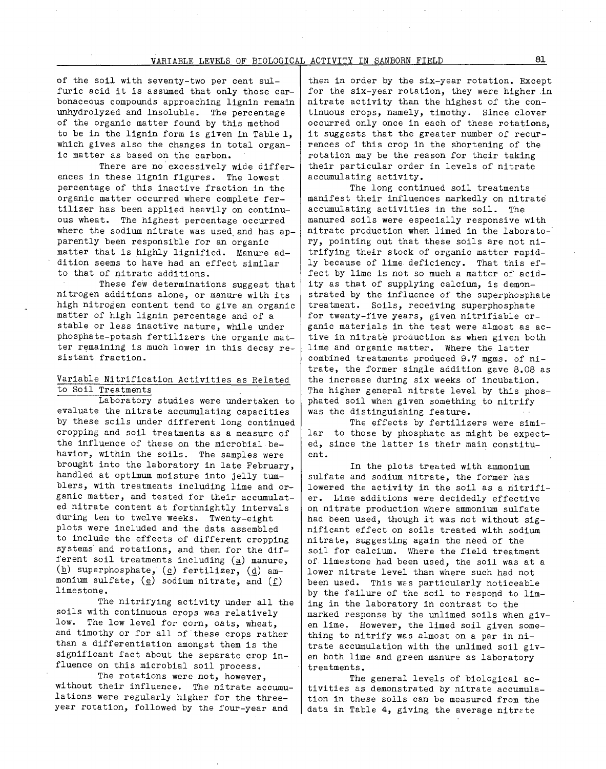## VARIABLE LEVELS OF BIOLOGICAL ACTIVITY IN SANBORN FIELD 81

of the soil with seventy-two per cent sulfuric acid it is assumed that only those carbonaceous compounds approaching lignin remain unhydrolyzed and insoluble. The percentage of the organic matter found by this method to be in the lignin form is given in Table 1, which gives also the changes in total organic matter as based on the carbon.

There are no excessively wide differences in these lignin figures. The lowest percentage of this inactive fraction in the organic matter occurred where complete fertilizer has been applied heavily on continuous wheat. The highest percentage occurred where the sodium nitrate was used and has apparently been responsible for an organic matter that is highly lignified. Manure addition seems to have had an effect similar to that of nitrate additions.

These few determinations suggest that nitrogen additions alone, or manure with its high nitrogen content tend to give an organic matter of high lignin percentage and of a stable or less inactive nature, while under phosphate-potash fertilizers the organic matter remaining is much lower in this decay resistant fraction.

# Variable Nitrification Activities as Related to Soil Treatments

Laboratory studies were undertaken to evaluate the nitrate accumulating capacities by these soils under different long continued cropping and soil treatments as a measure of the influence of these on the microbial behavior, within the soils. The samples were brought into the laboratory in late February, handled at optimum moisture into jelly tumblers, with treatments including lime and organic matter, and tested for their accumulated nitrate content at forthnightly intervals during ten to twelve weeks. Twenty-eight plots were included and the data assembled to include the effects of different cropping systems' and rotations, and then for the different soil treatments including  $(a)$  manure, (b) superphosphate, (c) fertilizer, (d) ammonium sulfate, (e) sodium nitrate, and (f) limestone.

The nitrifying activity under all the soils with continuous crops was relatively low. The low level for corn, oats, wheat, and timothy or for all of'these crops rather than a differentiation amongst them is the significant fact about the separate crop influence on this microbial soil process.

The rotations were not, however, without their influence. The nitrate accumulations were regularly higher for the threeyear rotation, followed by the four-year and

then in order by the six-year rotation. Except for the six-year rotation, they were higher in nitrate activity than the highest of the continuous crops, namely, timothy. Since clover occurred only once in each of these rotations, it suggests that the greater number of recurrences of this crop in the shortening of the rotation may be the reason for their taking their particular order in levels of nitrate accumulating activity.

The long continued soil treatments manifest their influences markedly on nitrate accumulating activities in the soil. The manured soils were especially responsive with nitrate production when limed in the laborato-' ry, pointing out that these soils are not nitrifying their stock of organic matter rapidly because of lime deficiency. That this effect by lime is not so much a matter of acidity as that of supplying calcium, is demonstrated by the influence of the superphosphate treatment. Soils, receiving superphosphate for twenty-five years, given nitrifiable organic materials in the test were almost as active in nitrate production as when given both lime and organic matter. Where the latter combined treatments produced 9.7 mgms. of nitrate, the former single addition gave 8.08 as the increase during six weeks of incubation. The higher general nitrate level by this phosphated soil when given something to nitrify was the distinguishing feature.

The effects by fertilizers were simi $lar$  to those by phosphate as might be expected, since the latter is their main constituent.

In the plots treated with ammonium sulfate and sodium nitrate, the former has lowered the activity in the soil as a nitrifier. Lime additions were decidedly effective on nitrate production where ammonium sulfate had been used, though it was not without significant effect on soils treated with sodium nitrate, suggesting again the need of the soil for calcium. Where the field treatment of. limestone had been used, the soil was at a lower nitrate level than where such had not been used. This was particularly noticeable by the failure of the soil to respond to liming in the laboratory in contrast to the marked response by the unlimed soils when given lime. However, the limed soil given something to nitrify was almost on a par in nitrate accumulation with the unlimed soil given both lime and green manure as laboratory treatments.

The general levels of biological activities as demonstrated by nitrate accumulation in these soils can be measured from the data in Table 4, giving the average nitrate